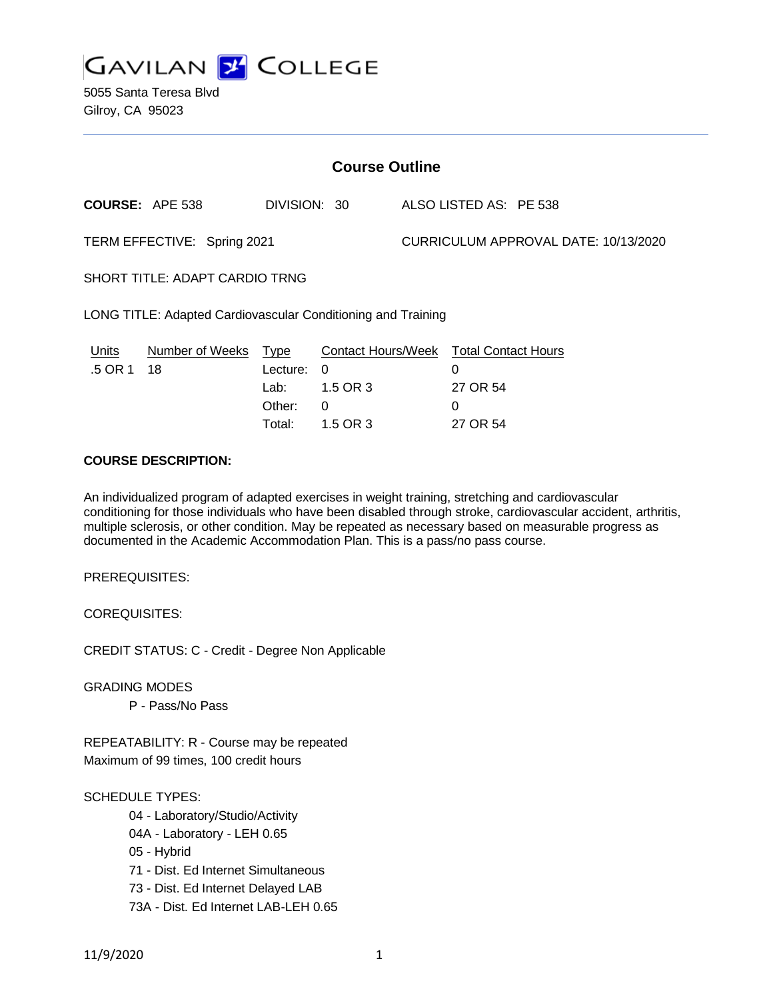

5055 Santa Teresa Blvd Gilroy, CA 95023

| <b>Course Outline</b>                                        |                            |                                      |                                              |                                      |                                                                          |  |
|--------------------------------------------------------------|----------------------------|--------------------------------------|----------------------------------------------|--------------------------------------|--------------------------------------------------------------------------|--|
|                                                              | <b>COURSE: APE 538</b>     | DIVISION: 30                         |                                              |                                      | ALSO LISTED AS: PE 538                                                   |  |
| TERM EFFECTIVE: Spring 2021                                  |                            |                                      |                                              | CURRICULUM APPROVAL DATE: 10/13/2020 |                                                                          |  |
| <b>SHORT TITLE: ADAPT CARDIO TRNG</b>                        |                            |                                      |                                              |                                      |                                                                          |  |
| LONG TITLE: Adapted Cardiovascular Conditioning and Training |                            |                                      |                                              |                                      |                                                                          |  |
| <u>Units</u><br>.5 OR 1                                      | Number of Weeks Type<br>18 | Lecture:<br>Lab:<br>Other:<br>Total: | $\Omega$<br>1.5 OR 3<br>$\Omega$<br>1.5 OR 3 |                                      | Contact Hours/Week Total Contact Hours<br>0<br>27 OR 54<br>0<br>27 OR 54 |  |
| $A A I I B A E B A A B I B E A I I$                          |                            |                                      |                                              |                                      |                                                                          |  |

## **COURSE DESCRIPTION:**

An individualized program of adapted exercises in weight training, stretching and cardiovascular conditioning for those individuals who have been disabled through stroke, cardiovascular accident, arthritis, multiple sclerosis, or other condition. May be repeated as necessary based on measurable progress as documented in the Academic Accommodation Plan. This is a pass/no pass course.

PREREQUISITES:

COREQUISITES:

CREDIT STATUS: C - Credit - Degree Non Applicable

GRADING MODES

P - Pass/No Pass

REPEATABILITY: R - Course may be repeated Maximum of 99 times, 100 credit hours

#### SCHEDULE TYPES:

- 04 Laboratory/Studio/Activity
- 04A Laboratory LEH 0.65
- 05 Hybrid
- 71 Dist. Ed Internet Simultaneous
- 73 Dist. Ed Internet Delayed LAB
- 73A Dist. Ed Internet LAB-LEH 0.65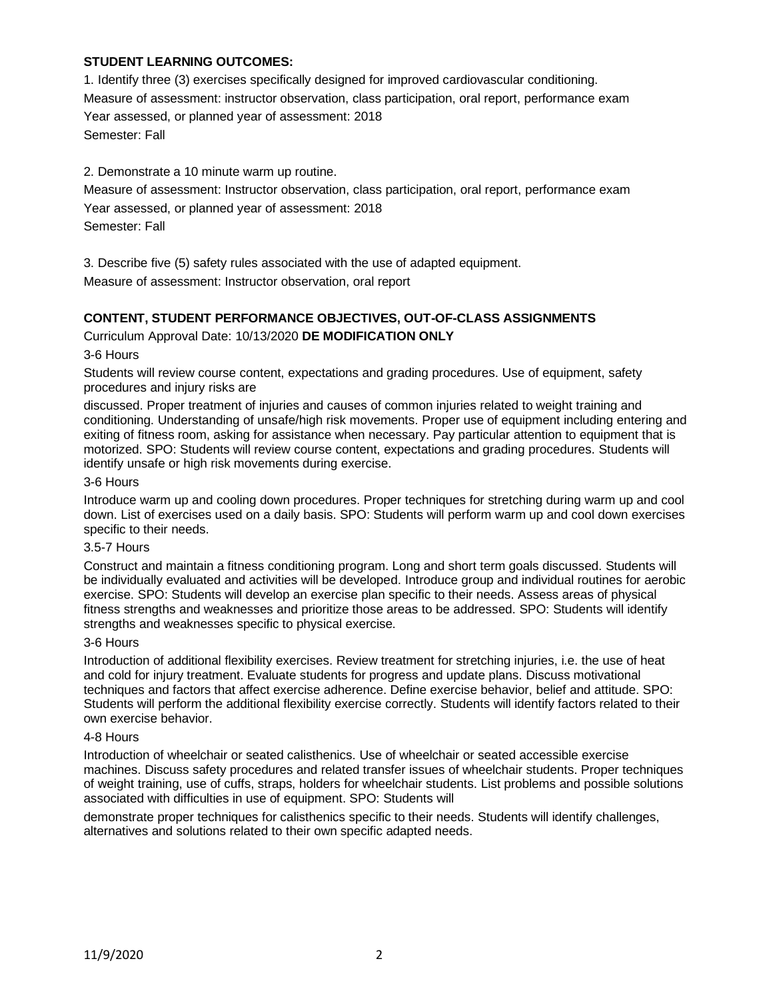## **STUDENT LEARNING OUTCOMES:**

1. Identify three (3) exercises specifically designed for improved cardiovascular conditioning. Measure of assessment: instructor observation, class participation, oral report, performance exam Year assessed, or planned year of assessment: 2018 Semester: Fall

2. Demonstrate a 10 minute warm up routine.

Measure of assessment: Instructor observation, class participation, oral report, performance exam Year assessed, or planned year of assessment: 2018 Semester: Fall

3. Describe five (5) safety rules associated with the use of adapted equipment.

Measure of assessment: Instructor observation, oral report

# **CONTENT, STUDENT PERFORMANCE OBJECTIVES, OUT-OF-CLASS ASSIGNMENTS**

Curriculum Approval Date: 10/13/2020 **DE MODIFICATION ONLY**

## 3-6 Hours

Students will review course content, expectations and grading procedures. Use of equipment, safety procedures and injury risks are

discussed. Proper treatment of injuries and causes of common injuries related to weight training and conditioning. Understanding of unsafe/high risk movements. Proper use of equipment including entering and exiting of fitness room, asking for assistance when necessary. Pay particular attention to equipment that is motorized. SPO: Students will review course content, expectations and grading procedures. Students will identify unsafe or high risk movements during exercise.

## 3-6 Hours

Introduce warm up and cooling down procedures. Proper techniques for stretching during warm up and cool down. List of exercises used on a daily basis. SPO: Students will perform warm up and cool down exercises specific to their needs.

## 3.5-7 Hours

Construct and maintain a fitness conditioning program. Long and short term goals discussed. Students will be individually evaluated and activities will be developed. Introduce group and individual routines for aerobic exercise. SPO: Students will develop an exercise plan specific to their needs. Assess areas of physical fitness strengths and weaknesses and prioritize those areas to be addressed. SPO: Students will identify strengths and weaknesses specific to physical exercise.

## 3-6 Hours

Introduction of additional flexibility exercises. Review treatment for stretching injuries, i.e. the use of heat and cold for injury treatment. Evaluate students for progress and update plans. Discuss motivational techniques and factors that affect exercise adherence. Define exercise behavior, belief and attitude. SPO: Students will perform the additional flexibility exercise correctly. Students will identify factors related to their own exercise behavior.

#### 4-8 Hours

Introduction of wheelchair or seated calisthenics. Use of wheelchair or seated accessible exercise machines. Discuss safety procedures and related transfer issues of wheelchair students. Proper techniques of weight training, use of cuffs, straps, holders for wheelchair students. List problems and possible solutions associated with difficulties in use of equipment. SPO: Students will

demonstrate proper techniques for calisthenics specific to their needs. Students will identify challenges, alternatives and solutions related to their own specific adapted needs.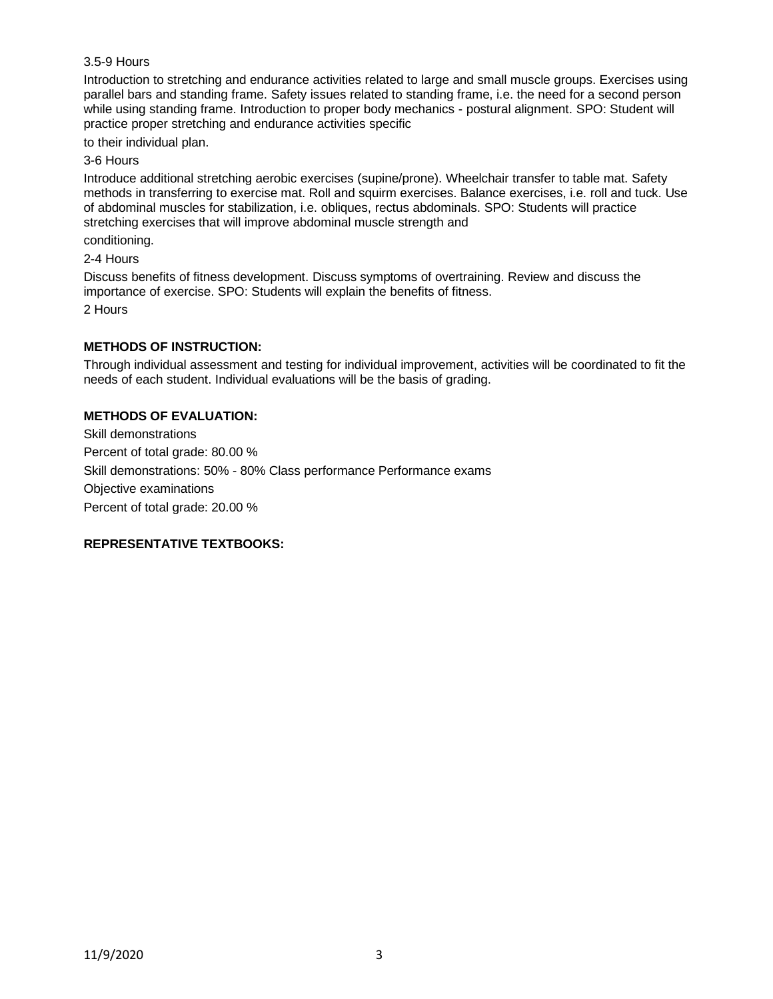## 3.5-9 Hours

Introduction to stretching and endurance activities related to large and small muscle groups. Exercises using parallel bars and standing frame. Safety issues related to standing frame, i.e. the need for a second person while using standing frame. Introduction to proper body mechanics - postural alignment. SPO: Student will practice proper stretching and endurance activities specific

to their individual plan.

3-6 Hours

Introduce additional stretching aerobic exercises (supine/prone). Wheelchair transfer to table mat. Safety methods in transferring to exercise mat. Roll and squirm exercises. Balance exercises, i.e. roll and tuck. Use of abdominal muscles for stabilization, i.e. obliques, rectus abdominals. SPO: Students will practice stretching exercises that will improve abdominal muscle strength and

conditioning.

2-4 Hours

Discuss benefits of fitness development. Discuss symptoms of overtraining. Review and discuss the importance of exercise. SPO: Students will explain the benefits of fitness. 2 Hours

## **METHODS OF INSTRUCTION:**

Through individual assessment and testing for individual improvement, activities will be coordinated to fit the needs of each student. Individual evaluations will be the basis of grading.

# **METHODS OF EVALUATION:**

Skill demonstrations Percent of total grade: 80.00 % Skill demonstrations: 50% - 80% Class performance Performance exams Objective examinations Percent of total grade: 20.00 %

## **REPRESENTATIVE TEXTBOOKS:**